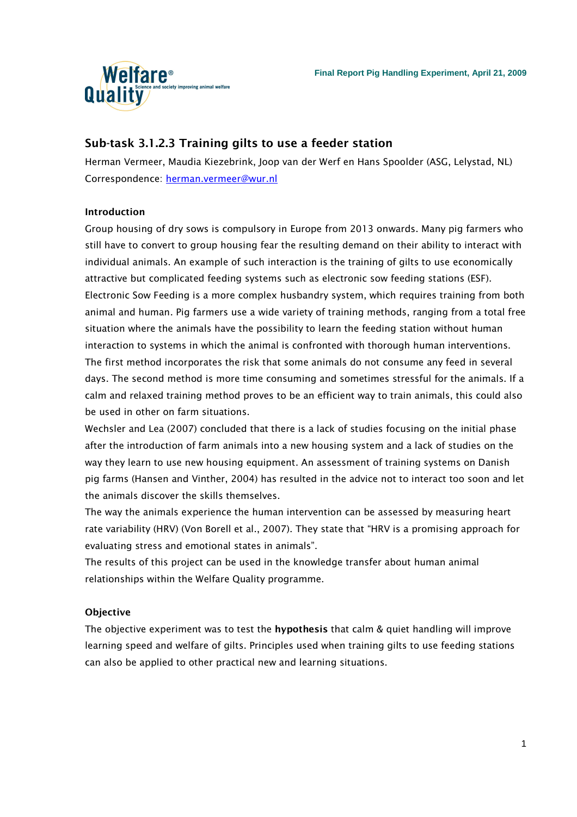

# Sub-task 3.1.2.3 Training gilts to use a feeder station

Herman Vermeer, Maudia Kiezebrink, Joop van der Werf en Hans Spoolder (ASG, Lelystad, NL) Correspondence: herman.vermeer@wur.nl

# Introduction

Group housing of dry sows is compulsory in Europe from 2013 onwards. Many pig farmers who still have to convert to group housing fear the resulting demand on their ability to interact with individual animals. An example of such interaction is the training of gilts to use economically attractive but complicated feeding systems such as electronic sow feeding stations (ESF). Electronic Sow Feeding is a more complex husbandry system, which requires training from both animal and human. Pig farmers use a wide variety of training methods, ranging from a total free situation where the animals have the possibility to learn the feeding station without human interaction to systems in which the animal is confronted with thorough human interventions. The first method incorporates the risk that some animals do not consume any feed in several days. The second method is more time consuming and sometimes stressful for the animals. If a calm and relaxed training method proves to be an efficient way to train animals, this could also be used in other on farm situations.

Wechsler and Lea (2007) concluded that there is a lack of studies focusing on the initial phase after the introduction of farm animals into a new housing system and a lack of studies on the way they learn to use new housing equipment. An assessment of training systems on Danish pig farms (Hansen and Vinther, 2004) has resulted in the advice not to interact too soon and let the animals discover the skills themselves.

The way the animals experience the human intervention can be assessed by measuring heart rate variability (HRV) (Von Borell et al., 2007). They state that "HRV is a promising approach for evaluating stress and emotional states in animals".

The results of this project can be used in the knowledge transfer about human animal relationships within the Welfare Quality programme.

# **Objective**

The objective experiment was to test the hypothesis that calm & quiet handling will improve learning speed and welfare of gilts. Principles used when training gilts to use feeding stations can also be applied to other practical new and learning situations.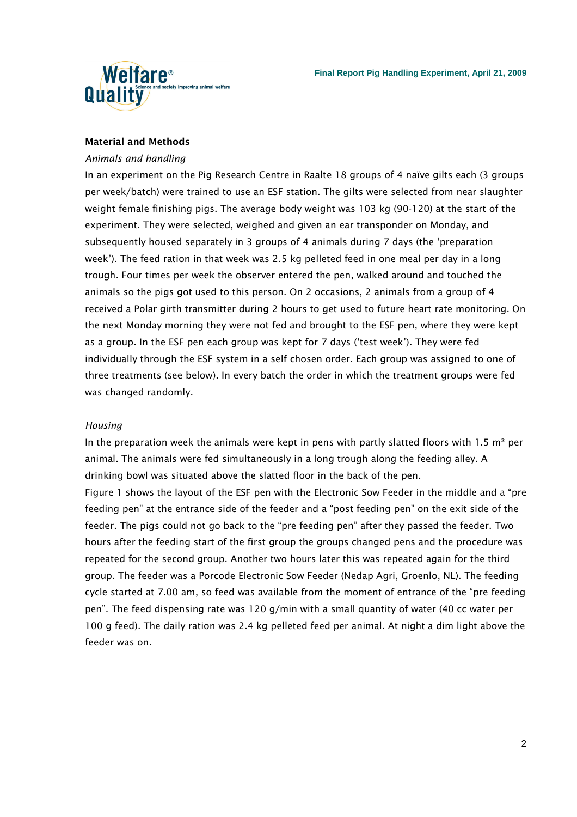

### Material and Methods

### Animals and handling

In an experiment on the Pig Research Centre in Raalte 18 groups of 4 naïve gilts each (3 groups per week/batch) were trained to use an ESF station. The gilts were selected from near slaughter weight female finishing pigs. The average body weight was 103 kg (90-120) at the start of the experiment. They were selected, weighed and given an ear transponder on Monday, and subsequently housed separately in 3 groups of 4 animals during 7 days (the 'preparation week'). The feed ration in that week was 2.5 kg pelleted feed in one meal per day in a long trough. Four times per week the observer entered the pen, walked around and touched the animals so the pigs got used to this person. On 2 occasions, 2 animals from a group of 4 received a Polar girth transmitter during 2 hours to get used to future heart rate monitoring. On the next Monday morning they were not fed and brought to the ESF pen, where they were kept as a group. In the ESF pen each group was kept for 7 days ('test week'). They were fed individually through the ESF system in a self chosen order. Each group was assigned to one of three treatments (see below). In every batch the order in which the treatment groups were fed was changed randomly.

### Housing

In the preparation week the animals were kept in pens with partly slatted floors with 1.5  $m<sup>2</sup>$  per animal. The animals were fed simultaneously in a long trough along the feeding alley. A drinking bowl was situated above the slatted floor in the back of the pen. Figure 1 shows the layout of the ESF pen with the Electronic Sow Feeder in the middle and a "pre feeding pen" at the entrance side of the feeder and a "post feeding pen" on the exit side of the feeder. The pigs could not go back to the "pre feeding pen" after they passed the feeder. Two hours after the feeding start of the first group the groups changed pens and the procedure was repeated for the second group. Another two hours later this was repeated again for the third group. The feeder was a Porcode Electronic Sow Feeder (Nedap Agri, Groenlo, NL). The feeding cycle started at 7.00 am, so feed was available from the moment of entrance of the "pre feeding pen". The feed dispensing rate was 120 g/min with a small quantity of water (40 cc water per 100 g feed). The daily ration was 2.4 kg pelleted feed per animal. At night a dim light above the feeder was on.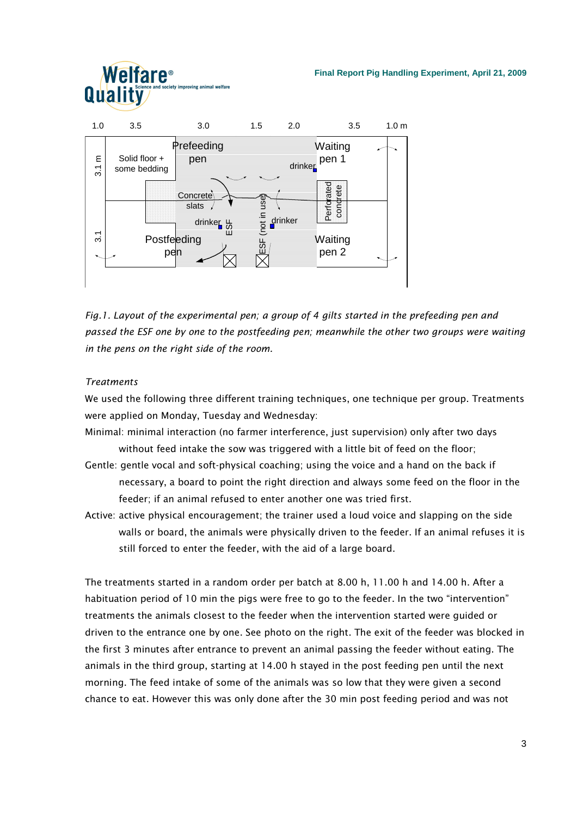### **Final Report Pig Handling Experiment, April 21, 2009**



Fig.1. Layout of the experimental pen; a group of 4 gilts started in the prefeeding pen and passed the ESF one by one to the postfeeding pen; meanwhile the other two groups were waiting in the pens on the right side of the room.

## Treatments

We used the following three different training techniques, one technique per group. Treatments were applied on Monday, Tuesday and Wednesday:

- Minimal: minimal interaction (no farmer interference, just supervision) only after two days without feed intake the sow was triggered with a little bit of feed on the floor;
- Gentle: gentle vocal and soft-physical coaching; using the voice and a hand on the back if necessary, a board to point the right direction and always some feed on the floor in the feeder; if an animal refused to enter another one was tried first.
- Active: active physical encouragement; the trainer used a loud voice and slapping on the side walls or board, the animals were physically driven to the feeder. If an animal refuses it is still forced to enter the feeder, with the aid of a large board.

The treatments started in a random order per batch at 8.00 h, 11.00 h and 14.00 h. After a habituation period of 10 min the pigs were free to go to the feeder. In the two "intervention" treatments the animals closest to the feeder when the intervention started were guided or driven to the entrance one by one. See photo on the right. The exit of the feeder was blocked in the first 3 minutes after entrance to prevent an animal passing the feeder without eating. The animals in the third group, starting at 14.00 h stayed in the post feeding pen until the next morning. The feed intake of some of the animals was so low that they were given a second chance to eat. However this was only done after the 30 min post feeding period and was not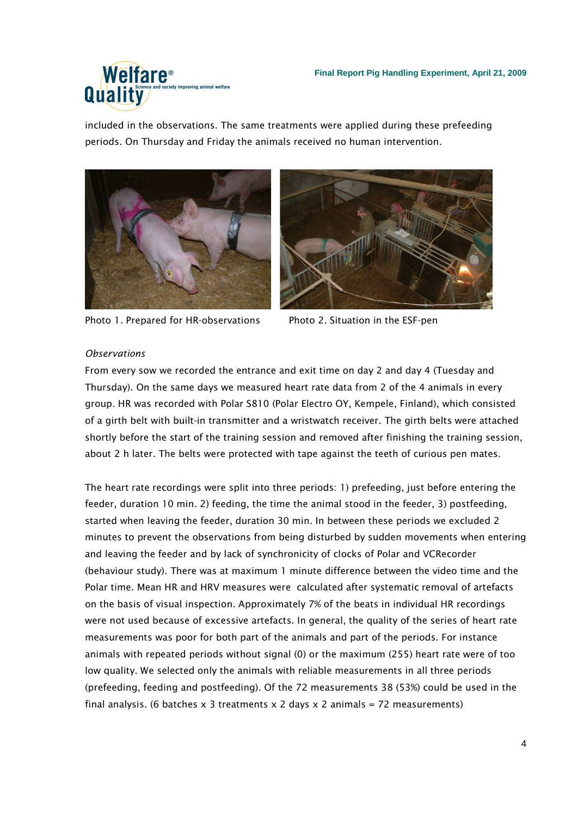

included in the observations. The same treatments were applied during these prefeeding periods. On Thursday and Friday the animals received no human intervention.



Photo 1. Prepared for HR-observations Photo 2. Situation in the ESF-pen



## **Observations**

From every sow we recorded the entrance and exit time on day 2 and day 4 (Tuesday and Thursday). On the same days we measured heart rate data from 2 of the 4 animals in every group. HR was recorded with Polar S810 (Polar Electro OY, Kempele, Finland), which consisted of a girth belt with built-in transmitter and a wristwatch receiver. The girth belts were attached shortly before the start of the training session and removed after finishing the training session, about 2 h later. The belts were protected with tape against the teeth of curious pen mates.

The heart rate recordings were split into three periods: 1) prefeeding, just before entering the feeder, duration 10 min. 2) feeding, the time the animal stood in the feeder, 3) postfeeding, started when leaving the feeder, duration 30 min. In between these periods we excluded 2 minutes to prevent the observations from being disturbed by sudden movements when entering and leaving the feeder and by lack of synchronicity of clocks of Polar and VCRecorder (behaviour study). There was at maximum 1 minute difference between the video time and the Polar time. Mean HR and HRV measures were calculated after systematic removal of artefacts on the basis of visual inspection. Approximately 7% of the beats in individual HR recordings were not used because of excessive artefacts. In general, the quality of the series of heart rate measurements was poor for both part of the animals and part of the periods. For instance animals with repeated periods without signal (0) or the maximum (255) heart rate were of too low quality. We selected only the animals with reliable measurements in all three periods (prefeeding, feeding and postfeeding). Of the 72 measurements 38 (53%) could be used in the final analysis. (6 batches  $x$  3 treatments  $x$  2 days  $x$  2 animals = 72 measurements)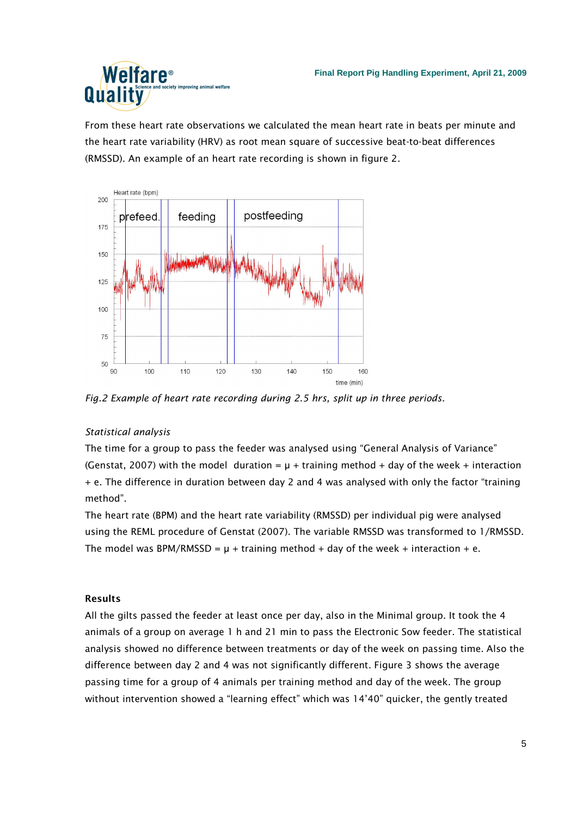

From these heart rate observations we calculated the mean heart rate in beats per minute and the heart rate variability (HRV) as root mean square of successive beat-to-beat differences (RMSSD). An example of an heart rate recording is shown in figure 2.



Fig.2 Example of heart rate recording during 2.5 hrs, split up in three periods.

# Statistical analysis

The time for a group to pass the feeder was analysed using "General Analysis of Variance" (Genstat, 2007) with the model duration =  $\mu$  + training method + day of the week + interaction + e. The difference in duration between day 2 and 4 was analysed with only the factor "training method".

The heart rate (BPM) and the heart rate variability (RMSSD) per individual pig were analysed using the REML procedure of Genstat (2007). The variable RMSSD was transformed to 1/RMSSD. The model was BPM/RMSSD =  $\mu$  + training method + day of the week + interaction + e.

# Results

All the gilts passed the feeder at least once per day, also in the Minimal group. It took the 4 animals of a group on average 1 h and 21 min to pass the Electronic Sow feeder. The statistical analysis showed no difference between treatments or day of the week on passing time. Also the difference between day 2 and 4 was not significantly different. Figure 3 shows the average passing time for a group of 4 animals per training method and day of the week. The group without intervention showed a "learning effect" which was 14'40" quicker, the gently treated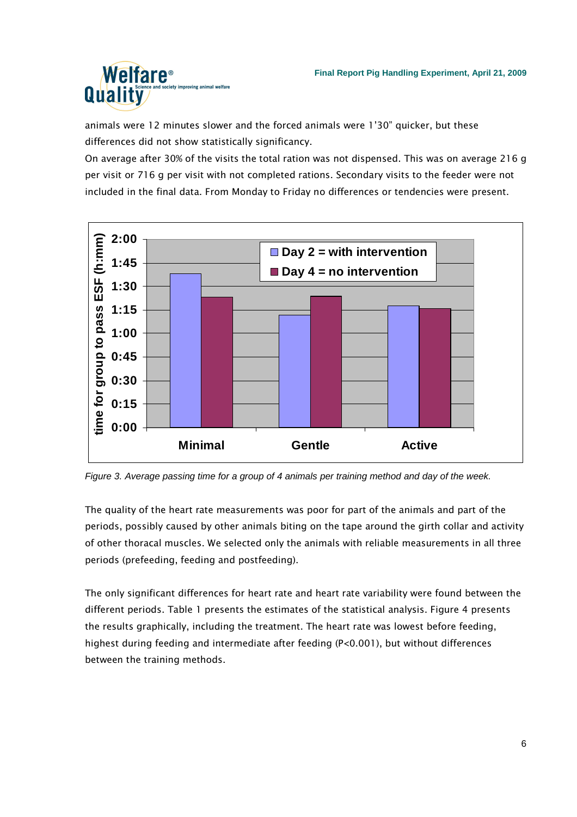

animals were 12 minutes slower and the forced animals were 1'30" quicker, but these differences did not show statistically significancy.

On average after 30% of the visits the total ration was not dispensed. This was on average 216 g per visit or 716 g per visit with not completed rations. Secondary visits to the feeder were not included in the final data. From Monday to Friday no differences or tendencies were present.



Figure 3. Average passing time for a group of 4 animals per training method and day of the week.

The quality of the heart rate measurements was poor for part of the animals and part of the periods, possibly caused by other animals biting on the tape around the girth collar and activity of other thoracal muscles. We selected only the animals with reliable measurements in all three periods (prefeeding, feeding and postfeeding).

The only significant differences for heart rate and heart rate variability were found between the different periods. Table 1 presents the estimates of the statistical analysis. Figure 4 presents the results graphically, including the treatment. The heart rate was lowest before feeding, highest during feeding and intermediate after feeding (P<0.001), but without differences between the training methods.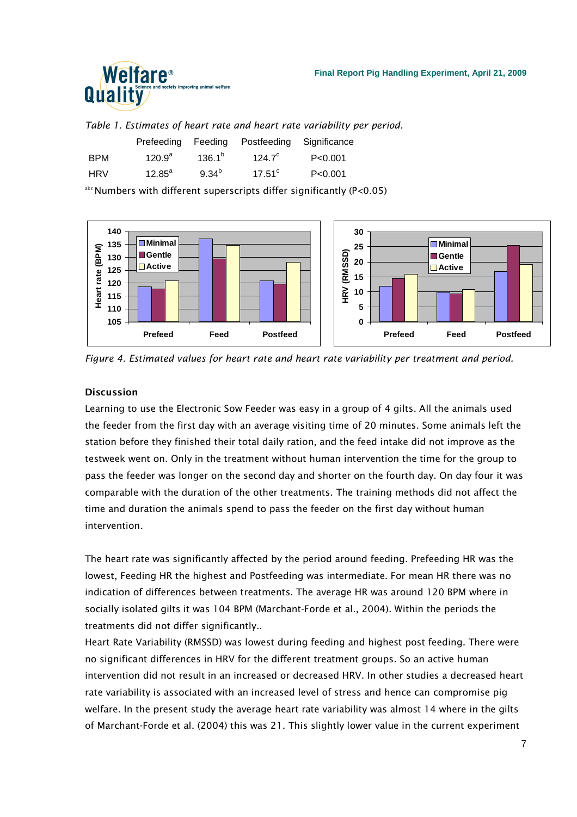

#### **Final Report Pig Handling Experiment, April 21, 2009**

Table 1. Estimates of heart rate and heart rate variability per period.

|            | Prefeeding      | Feeding         | Postfeeding Significance |           |
|------------|-----------------|-----------------|--------------------------|-----------|
| <b>BPM</b> | $120.9^{a}$     | $136.1^{\circ}$ | $124.7^{\circ}$          | P < 0.001 |
| <b>HRV</b> | $12.85^{\circ}$ | $9.34^{b}$      | $17.51^{\circ}$          | P < 0.001 |

abc Numbers with different superscripts differ significantly (P<0.05)



Figure 4. Estimated values for heart rate and heart rate variability per treatment and period.

### Discussion

Learning to use the Electronic Sow Feeder was easy in a group of 4 gilts. All the animals used the feeder from the first day with an average visiting time of 20 minutes. Some animals left the station before they finished their total daily ration, and the feed intake did not improve as the testweek went on. Only in the treatment without human intervention the time for the group to pass the feeder was longer on the second day and shorter on the fourth day. On day four it was comparable with the duration of the other treatments. The training methods did not affect the time and duration the animals spend to pass the feeder on the first day without human intervention.

The heart rate was significantly affected by the period around feeding. Prefeeding HR was the lowest, Feeding HR the highest and Postfeeding was intermediate. For mean HR there was no indication of differences between treatments. The average HR was around 120 BPM where in socially isolated gilts it was 104 BPM (Marchant-Forde et al., 2004). Within the periods the treatments did not differ significantly..

Heart Rate Variability (RMSSD) was lowest during feeding and highest post feeding. There were no significant differences in HRV for the different treatment groups. So an active human intervention did not result in an increased or decreased HRV. In other studies a decreased heart rate variability is associated with an increased level of stress and hence can compromise pig welfare. In the present study the average heart rate variability was almost 14 where in the gilts of Marchant-Forde et al. (2004) this was 21. This slightly lower value in the current experiment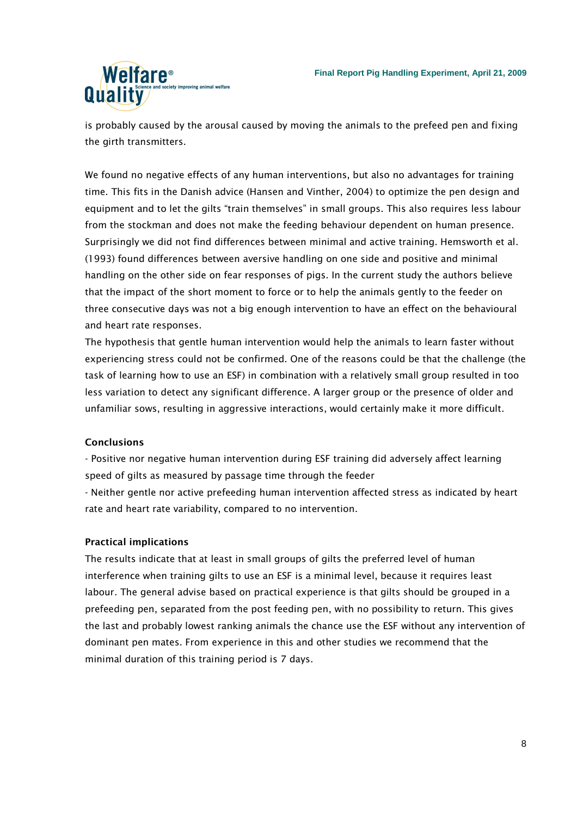

is probably caused by the arousal caused by moving the animals to the prefeed pen and fixing the girth transmitters.

We found no negative effects of any human interventions, but also no advantages for training time. This fits in the Danish advice (Hansen and Vinther, 2004) to optimize the pen design and equipment and to let the gilts "train themselves" in small groups. This also requires less labour from the stockman and does not make the feeding behaviour dependent on human presence. Surprisingly we did not find differences between minimal and active training. Hemsworth et al. (1993) found differences between aversive handling on one side and positive and minimal handling on the other side on fear responses of pigs. In the current study the authors believe that the impact of the short moment to force or to help the animals gently to the feeder on three consecutive days was not a big enough intervention to have an effect on the behavioural and heart rate responses.

The hypothesis that gentle human intervention would help the animals to learn faster without experiencing stress could not be confirmed. One of the reasons could be that the challenge (the task of learning how to use an ESF) in combination with a relatively small group resulted in too less variation to detect any significant difference. A larger group or the presence of older and unfamiliar sows, resulting in aggressive interactions, would certainly make it more difficult.

## **Conclusions**

- Positive nor negative human intervention during ESF training did adversely affect learning speed of gilts as measured by passage time through the feeder

- Neither gentle nor active prefeeding human intervention affected stress as indicated by heart rate and heart rate variability, compared to no intervention.

## Practical implications

The results indicate that at least in small groups of gilts the preferred level of human interference when training gilts to use an ESF is a minimal level, because it requires least labour. The general advise based on practical experience is that gilts should be grouped in a prefeeding pen, separated from the post feeding pen, with no possibility to return. This gives the last and probably lowest ranking animals the chance use the ESF without any intervention of dominant pen mates. From experience in this and other studies we recommend that the minimal duration of this training period is 7 days.